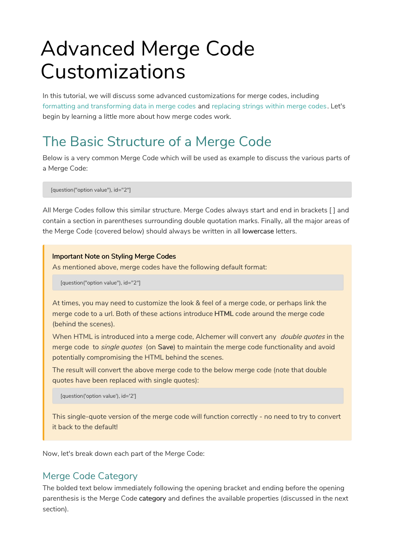# Advanced Merge Code Customizations

In this tutorial, we will discuss some advanced customizations for merge codes, including formatting and transforming data in merge codes and replacing strings within merge codes. Let's begin by learning a little more about how merge codes work.

# The Basic Structure of a Merge Code

Below is a very common Merge Code which will be used as example to discuss the various parts of a Merge Code:

[question("option value"), id="2"]

All Merge Codes follow this similar structure. Merge Codes always start and end in brackets [ ] and contain a section in parentheses surrounding double quotation marks. Finally, all the major areas of the Merge Code (covered below) should always be written in all lowercase letters.

#### Important Note on Styling Merge Codes

As mentioned above, merge codes have the following default format:

[question("option value"), id="2"]

At times, you may need to customize the look & feel of a merge code, or perhaps link the merge code to a url. Both of these actions introduce HTML code around the merge code (behind the scenes).

When HTML is introduced into a merge code, Alchemer will convert any *double quotes* in the merge code to single quotes (on Save) to maintain the merge code functionality and avoid potentially compromising the HTML behind the scenes.

The result will convert the above merge code to the below merge code (note that double quotes have been replaced with single quotes):

[question('option value'), id='2']

This single-quote version of the merge code will function correctly - no need to try to convert it back to the default!

Now, let's break down each part of the Merge Code:

### Merge Code Category

The bolded text below immediately following the opening bracket and ending before the opening parenthesis is the Merge Code category and defines the available properties (discussed in the next section).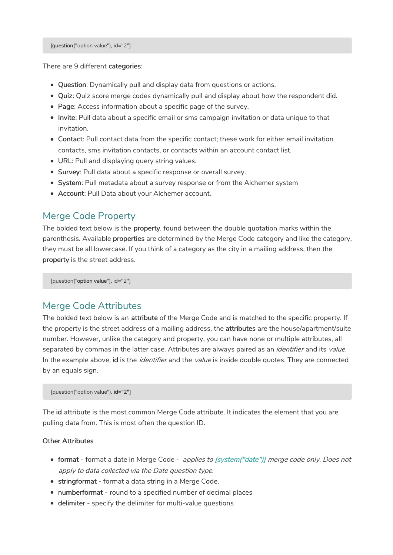[question("option value"), id="2"]

There are 9 different categories:

- Question: Dynamically pull and display data from questions or actions.
- Quiz: Quiz score merge codes dynamically pull and display about how the respondent did.
- Page: Access information about a specific page of the survey.
- Invite: Pull data about a specific email or sms campaign invitation or data unique to that invitation.
- Contact: Pull contact data from the specific contact; these work for either email invitation contacts, sms invitation contacts, or contacts within an account contact list.
- URL: Pull and displaying query string values.
- Survey: Pull data about a specific response or overall survey.
- System: Pull metadata about a survey response or from the Alchemer system
- Account: Pull Data about your Alchemer account.

### Merge Code Property

The bolded text below is the property, found between the double quotation marks within the parenthesis. Available properties are determined by the Merge Code category and like the category, they must be all lowercase. If you think of a category as the city in a mailing address, then the property is the street address.

[question("option value"), id="2"]

### Merge Code Attributes

The bolded text below is an attribute of the Merge Code and is matched to the specific property. If the property is the street address of a mailing address, the attributes are the house/apartment/suite number. However, unlike the category and property, you can have none or multiple attributes, all separated by commas in the latter case. Attributes are always paired as an *identifier* and its value. In the example above, id is the *identifier* and the *value* is inside double quotes. They are connected by an equals sign.

[question("option value"), id="2"]

The id attribute is the most common Merge Code attribute. It indicates the element that you are pulling data from. This is most often the question ID.

#### Other Attributes

- format format a date in Merge Code applies to [system("date")] merge code only. Does not apply to data collected via the Date question type.
- stringformat format a data string in a Merge Code.
- numberformat round to a specified number of decimal places
- delimiter specify the delimiter for multi-value questions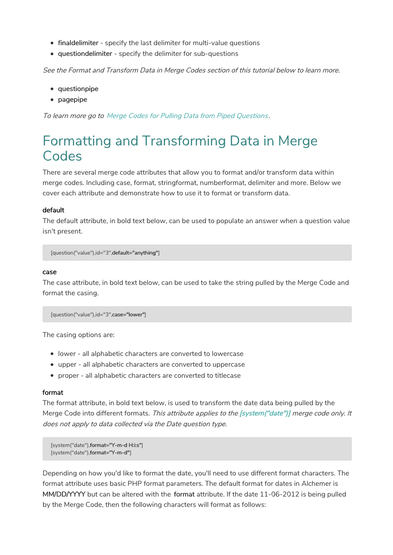- finaldelimiter specify the last delimiter for multi-value questions
- questiondelimiter specify the delimiter for sub-questions

See the Format and Transform Data in Merge Codes section of this tutorial below to learn more.

- questionpipe
- pagepipe

To learn more go to Merge Codes for Pulling Data from Piped Questions .

## Formatting and Transforming Data in Merge Codes

There are several merge code attributes that allow you to format and/or transform data within merge codes. Including case, format, stringformat, numberformat, delimiter and more. Below we cover each attribute and demonstrate how to use it to format or transform data.

#### default

The default attribute, in bold text below, can be used to populate an answer when a question value isn't present.

[question("value"),id="3",default="anything"]

#### case

The case attribute, in bold text below, can be used to take the string pulled by the Merge Code and format the casing.

[question("value"),id="3",case="lower"]

The casing options are:

- lower all alphabetic characters are converted to lowercase
- upper all alphabetic characters are converted to uppercase
- proper all alphabetic characters are converted to titlecase

#### format

The format attribute, in bold text below, is used to transform the date data being pulled by the Merge Code into different formats. This attribute applies to the [system("date")] merge code only. It does not apply to data collected via the Date question type.

```
[system("date"),format="Y-m-d H:i:s"]
[system("date"),format="Y-m-d"]
```
Depending on how you'd like to format the date, you'll need to use different format characters. The format attribute uses basic PHP format parameters. The default format for dates in Alchemer is MM/DD/YYYY but can be altered with the format attribute. If the date 11-06-2012 is being pulled by the Merge Code, then the following characters will format as follows: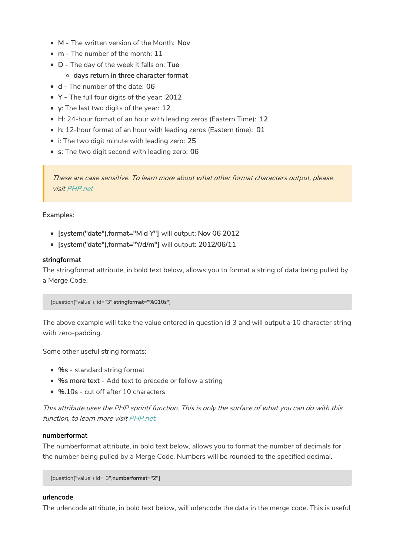- M The written version of the Month: Nov
- m The number of the month: 11
- D The day of the week it falls on: Tue
	- o days return in three character format
- d The number of the date: 06
- Y The full four digits of the year: 2012
- y: The last two digits of the year: 12
- H: 24-hour format of an hour with leading zeros (Eastern Time): 12
- h: 12-hour format of an hour with leading zeros (Eastern time): 01
- i: The two digit minute with leading zero: 25
- s: The two digit second with leading zero: 06

These are case sensitive. To learn more about what other format characters output, please visit PHP.net

#### Examples:

- [system("date"),format="M d Y"] will output: Nov 06 2012
- [system("date"),format="Y/d/m"] will output: 2012/06/11

#### stringformat

The stringformat attribute, in bold text below, allows you to format a string of data being pulled by a Merge Code.

[question("value"), id="3",stringformat="%010s"]

The above example will take the value entered in question id 3 and will output a 10 character string with zero-padding.

Some other useful string formats:

- %s standard string format
- %s more text Add text to precede or follow a string
- %.10s cut off after 10 characters

This attribute uses the PHP sprintf function. This is only the surface of what you can do with this function, to learn more visit PHP.net.

#### numberformat

The numberformat attribute, in bold text below, allows you to format the number of decimals for the number being pulled by a Merge Code. Numbers will be rounded to the specified decimal.

[question("value") id="3",numberformat="2"]

#### urlencode

The urlencode attribute, in bold text below, will urlencode the data in the merge code. This is useful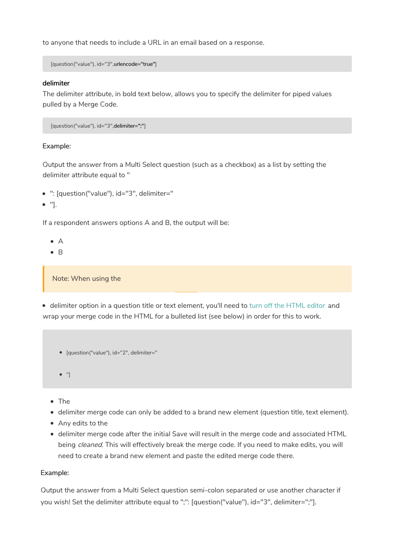to anyone that needs to include a URL in an email based on a response.

[question("value"), id="3",urlencode="true"]

#### delimiter

The delimiter attribute, in bold text below, allows you to specify the delimiter for piped values pulled by a Merge Code.

[question("value"), id="3",delimiter=";"]

#### Example:

Output the answer from a Multi Select question (such as a checkbox) as a list by setting the delimiter attribute equal to "

- ": [question("value"), id="3", delimiter="
- $\bullet$  "].

If a respondent answers options A and B, the output will be:

- $\bullet$  A
- $\bullet$  R

Note: When using the

delimiter option in a question title or text element, you'll need to turn off the HTML editor and wrap your merge code in the HTML for a bulleted list (see below) in order for this to work.

- [question("value"), id="2", delimiter="
- $\bullet$  "]
- The
- delimiter merge code can only be added to a brand new element (question title, text element).
- Any edits to the
- delimiter merge code after the initial Save will result in the merge code and associated HTML being *cleaned*. This will effectively break the merge code. If you need to make edits, you will need to create a brand new element and paste the edited merge code there.

#### Example:

Output the answer from a Multi Select question semi-colon separated or use another character if you wish! Set the delimiter attribute equal to ";": [question("value"), id="3", delimiter=";"].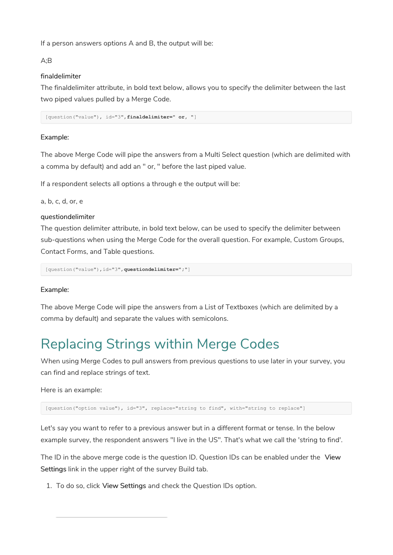If a person answers options A and B, the output will be:

#### A;B

#### finaldelimiter

The finaldelimiter attribute, in bold text below, allows you to specify the delimiter between the last two piped values pulled by a Merge Code.

[question("value"), id="3",**finaldelimiter=" or, "**]

#### Example:

The above Merge Code will pipe the answers from a Multi Select question (which are delimited with a comma by default) and add an " or, " before the last piped value.

If a respondent selects all options a through e the output will be:

a, b, c, d, or, e

#### questiondelimiter

The question delimiter attribute, in bold text below, can be used to specify the delimiter between sub-questions when using the Merge Code for the overall question. For example, Custom Groups, Contact Forms, and Table questions.

[question("value"),id="3",**questiondelimiter=";"**]

#### Example:

The above Merge Code will pipe the answers from a List of Textboxes (which are delimited by a comma by default) and separate the values with semicolons.

# Replacing Strings within Merge Codes

When using Merge Codes to pull answers from previous questions to use later in your survey, you can find and replace strings of text.

Here is an example:

[question("option value"), id="3", replace="string to find", with="string to replace"]

Let's say you want to refer to a previous answer but in a different format or tense. In the below example survey, the respondent answers "I live in the US". That's what we call the 'string to find'.

The ID in the above merge code is the question ID. Question IDs can be enabled under the View Settings link in the upper right of the survey Build tab.

1. To do so, click View Settings and check the Question IDs option.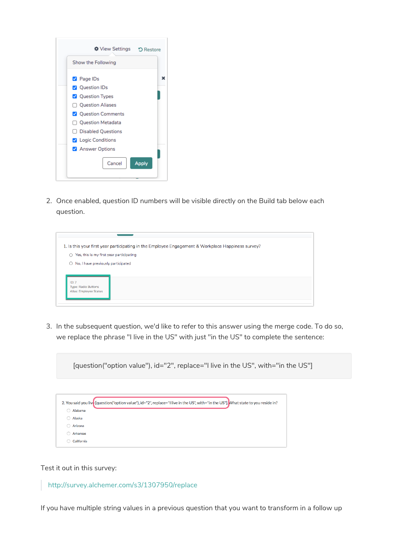| Show the Following<br>$\triangledown$ Page IDs<br><b>V</b> Question IDs<br><b>V</b> Question Types<br><b>Question Aliases</b><br>П<br><b>Question Comments</b><br><b>Question Metadata</b><br><b>Disabled Questions</b><br><b>Z</b> Logic Conditions |
|------------------------------------------------------------------------------------------------------------------------------------------------------------------------------------------------------------------------------------------------------|
|                                                                                                                                                                                                                                                      |
|                                                                                                                                                                                                                                                      |
|                                                                                                                                                                                                                                                      |
|                                                                                                                                                                                                                                                      |
|                                                                                                                                                                                                                                                      |
|                                                                                                                                                                                                                                                      |
|                                                                                                                                                                                                                                                      |
|                                                                                                                                                                                                                                                      |
|                                                                                                                                                                                                                                                      |
| Answer Options                                                                                                                                                                                                                                       |

2. Once enabled, question ID numbers will be visible directly on the Build tab below each question.

|                                               | 1. Is this your first year participating in the Employee Engagement & Workplace Happiness survey? |  |
|-----------------------------------------------|---------------------------------------------------------------------------------------------------|--|
| Yes, this is my first year participating<br>◠ |                                                                                                   |  |
| No, I have previously participated<br>$\circ$ |                                                                                                   |  |
|                                               |                                                                                                   |  |
| ID: 7<br><b>Type: Radio Buttons</b>           |                                                                                                   |  |
| Alias: Employee Status                        |                                                                                                   |  |
|                                               |                                                                                                   |  |

3. In the subsequent question, we'd like to refer to this answer using the merge code. To do so, we replace the phrase "I live in the US" with just "in the US" to complete the sentence:

[question("option value"), id="2", replace="I live in the US", with="in the US"] 2. You said you live [question("option value"), id="2", replace="I live in the US", with="in the US"]. What state to you reside in? Alabama  $\bigcirc$  Alaska ○ Arizona ○ Arkansas California

Test it out in this survey:

http://survey.alchemer.com/s3/1307950/replace

If you have multiple string values in a previous question that you want to transform in a follow up